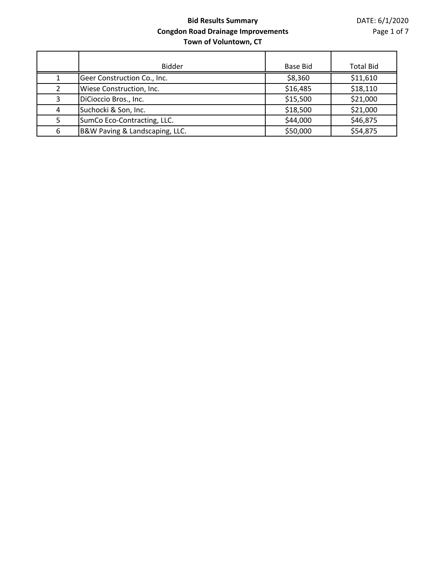|   | <b>Bidder</b>                  | <b>Base Bid</b> | <b>Total Bid</b> |
|---|--------------------------------|-----------------|------------------|
|   | Geer Construction Co., Inc.    | \$8,360         | \$11,610         |
|   | Wiese Construction, Inc.       | \$16,485        | \$18,110         |
| 3 | DiCioccio Bros., Inc.          | \$15,500        | \$21,000         |
| 4 | Suchocki & Son, Inc.           | \$18,500        | \$21,000         |
| 5 | SumCo Eco-Contracting, LLC.    | \$44,000        | \$46,875         |
| 6 | B&W Paving & Landscaping, LLC. | \$50,000        | \$54,875         |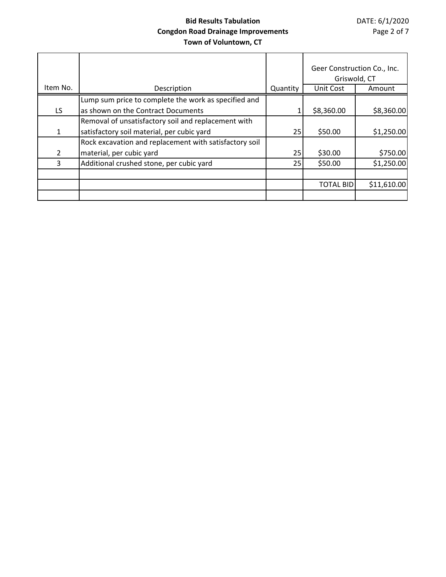|          |                                                        |          | Geer Construction Co., Inc.<br>Griswold, CT |             |
|----------|--------------------------------------------------------|----------|---------------------------------------------|-------------|
| Item No. | Description                                            | Quantity | Unit Cost                                   | Amount      |
|          | Lump sum price to complete the work as specified and   |          |                                             |             |
| LS.      | as shown on the Contract Documents                     |          | \$8,360.00                                  | \$8,360.00  |
|          | Removal of unsatisfactory soil and replacement with    |          |                                             |             |
| 1        | satisfactory soil material, per cubic yard             | 25       | \$50.00                                     | \$1,250.00  |
|          | Rock excavation and replacement with satisfactory soil |          |                                             |             |
| 2        | material, per cubic yard                               | 25       | \$30.00                                     | \$750.00    |
| 3        | Additional crushed stone, per cubic yard               | 25       | \$50.00                                     | \$1,250.00  |
|          |                                                        |          |                                             |             |
|          |                                                        |          | <b>TOTAL BID</b>                            | \$11,610.00 |
|          |                                                        |          |                                             |             |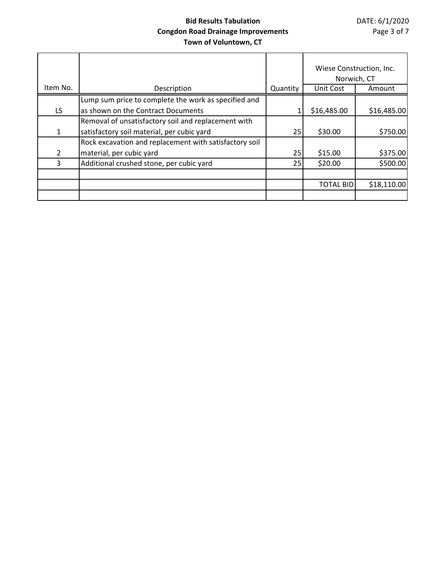|          |                                                        |          | Wiese Construction, Inc.<br>Norwich, CT |             |
|----------|--------------------------------------------------------|----------|-----------------------------------------|-------------|
| Item No. | Description                                            | Quantity | Unit Cost                               | Amount      |
|          | Lump sum price to complete the work as specified and   |          |                                         |             |
| LS.      | as shown on the Contract Documents                     |          | \$16,485.00                             | \$16,485.00 |
|          | Removal of unsatisfactory soil and replacement with    |          |                                         |             |
| 1        | satisfactory soil material, per cubic yard             | 25       | \$30.00                                 | \$750.00    |
|          | Rock excavation and replacement with satisfactory soil |          |                                         |             |
| 2        | material, per cubic yard                               | 25       | \$15.00                                 | \$375.00    |
| 3        | Additional crushed stone, per cubic yard               | 25       | \$20.00                                 | \$500.00    |
|          |                                                        |          |                                         |             |
|          |                                                        |          | <b>TOTAL BID</b>                        | \$18,110.00 |
|          |                                                        |          |                                         |             |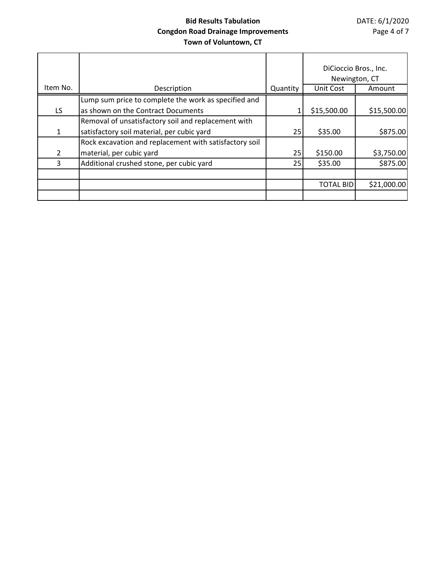|          |                                                        |          | DiCioccio Bros., Inc.<br>Newington, CT |             |
|----------|--------------------------------------------------------|----------|----------------------------------------|-------------|
| Item No. | Description                                            | Quantity | Unit Cost                              | Amount      |
|          | Lump sum price to complete the work as specified and   |          |                                        |             |
| LS.      | as shown on the Contract Documents                     |          | \$15,500.00                            | \$15,500.00 |
|          | Removal of unsatisfactory soil and replacement with    |          |                                        |             |
| 1        | satisfactory soil material, per cubic yard             | 25       | \$35.00                                | \$875.00    |
|          | Rock excavation and replacement with satisfactory soil |          |                                        |             |
| 2        | material, per cubic yard                               | 25       | \$150.00                               | \$3,750.00  |
| 3        | Additional crushed stone, per cubic yard               | 25       | \$35.00                                | \$875.00    |
|          |                                                        |          |                                        |             |
|          |                                                        |          | <b>TOTAL BID</b>                       | \$21,000.00 |
|          |                                                        |          |                                        |             |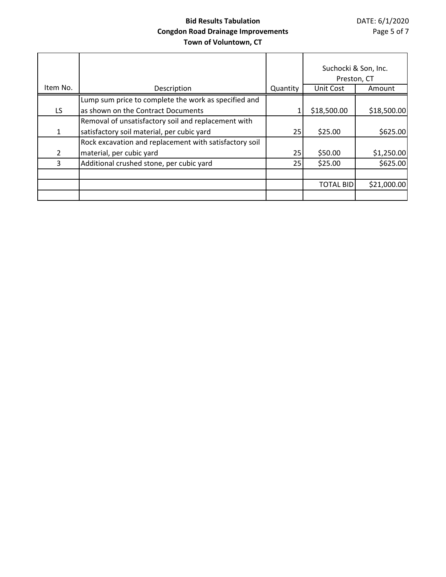|          |                                                        |          | Suchocki & Son, Inc. |             |
|----------|--------------------------------------------------------|----------|----------------------|-------------|
|          |                                                        |          | Preston, CT          |             |
| Item No. | Description                                            | Quantity | Unit Cost            | Amount      |
|          | Lump sum price to complete the work as specified and   |          |                      |             |
| LS.      | as shown on the Contract Documents                     |          | \$18,500.00          | \$18,500.00 |
|          | Removal of unsatisfactory soil and replacement with    |          |                      |             |
| 1        | satisfactory soil material, per cubic yard             | 25       | \$25.00              | \$625.00    |
|          | Rock excavation and replacement with satisfactory soil |          |                      |             |
| 2        | material, per cubic yard                               | 25       | \$50.00              | \$1,250.00  |
| 3        | Additional crushed stone, per cubic yard               | 25       | \$25.00              | \$625.00    |
|          |                                                        |          |                      |             |
|          |                                                        |          | <b>TOTAL BID</b>     | \$21,000.00 |
|          |                                                        |          |                      |             |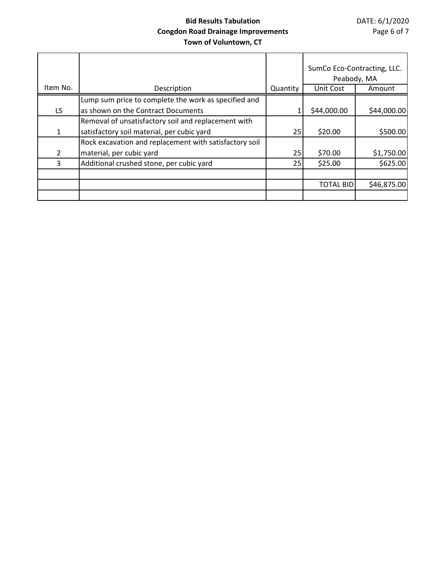|          |                                                        |          | SumCo Eco-Contracting, LLC.<br>Peabody, MA |             |
|----------|--------------------------------------------------------|----------|--------------------------------------------|-------------|
| Item No. | Description                                            | Quantity | Unit Cost                                  | Amount      |
|          | Lump sum price to complete the work as specified and   |          |                                            |             |
| LS.      | as shown on the Contract Documents                     |          | \$44,000.00                                | \$44,000.00 |
|          | Removal of unsatisfactory soil and replacement with    |          |                                            |             |
| 1        | satisfactory soil material, per cubic yard             | 25       | \$20.00                                    | \$500.00    |
|          | Rock excavation and replacement with satisfactory soil |          |                                            |             |
| 2        | material, per cubic yard                               | 25       | \$70.00                                    | \$1,750.00  |
| 3        | Additional crushed stone, per cubic yard               | 25       | \$25.00                                    | \$625.00    |
|          |                                                        |          |                                            |             |
|          |                                                        |          | <b>TOTAL BID</b>                           | \$46,875.00 |
|          |                                                        |          |                                            |             |